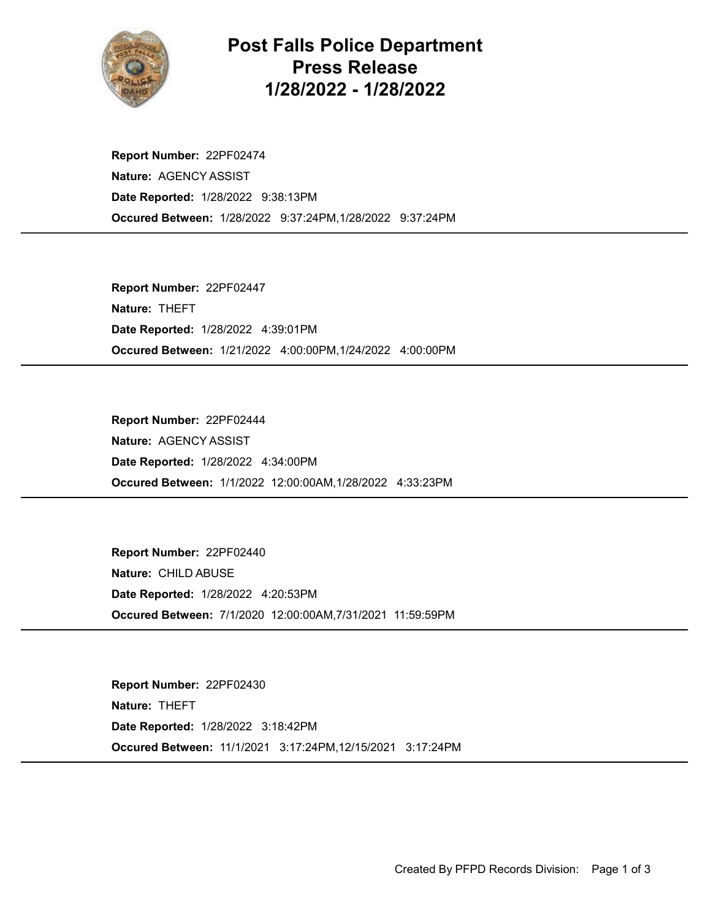

## Post Falls Police Department Press Release 1/28/2022 - 1/28/2022

Occured Between: 1/28/2022 9:37:24PM,1/28/2022 9:37:24PM Report Number: 22PF02474 Nature: AGENCY ASSIST Date Reported: 1/28/2022 9:38:13PM

Occured Between: 1/21/2022 4:00:00PM,1/24/2022 4:00:00PM Report Number: 22PF02447 Nature: THEFT Date Reported: 1/28/2022 4:39:01PM

Occured Between: 1/1/2022 12:00:00AM,1/28/2022 4:33:23PM Report Number: 22PF02444 Nature: AGENCY ASSIST Date Reported: 1/28/2022 4:34:00PM

Occured Between: 7/1/2020 12:00:00AM,7/31/2021 11:59:59PM Report Number: 22PF02440 Nature: CHILD ABUSE Date Reported: 1/28/2022 4:20:53PM

Occured Between: 11/1/2021 3:17:24PM,12/15/2021 3:17:24PM Report Number: 22PF02430 Nature: THEFT Date Reported: 1/28/2022 3:18:42PM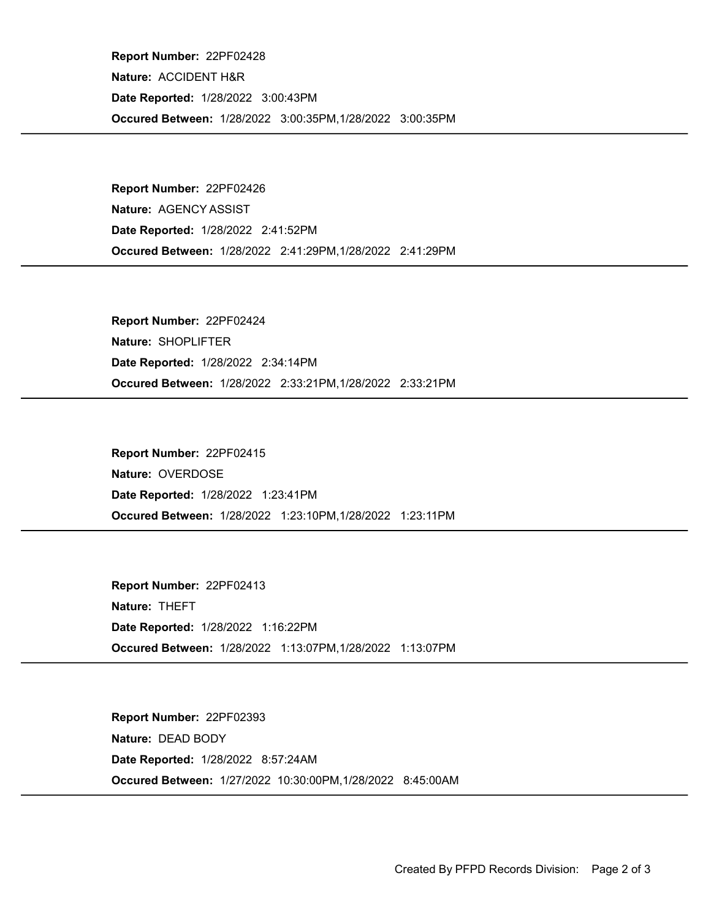Occured Between: 1/28/2022 3:00:35PM,1/28/2022 3:00:35PM Report Number: 22PF02428 Nature: ACCIDENT H&R Date Reported: 1/28/2022 3:00:43PM

Occured Between: 1/28/2022 2:41:29PM,1/28/2022 2:41:29PM Report Number: 22PF02426 Nature: AGENCY ASSIST Date Reported: 1/28/2022 2:41:52PM

Occured Between: 1/28/2022 2:33:21PM,1/28/2022 2:33:21PM Report Number: 22PF02424 Nature: SHOPLIFTER Date Reported: 1/28/2022 2:34:14PM

Occured Between: 1/28/2022 1:23:10PM,1/28/2022 1:23:11PM Report Number: 22PF02415 Nature: OVERDOSE Date Reported: 1/28/2022 1:23:41PM

Occured Between: 1/28/2022 1:13:07PM,1/28/2022 1:13:07PM Report Number: 22PF02413 Nature: THEFT Date Reported: 1/28/2022 1:16:22PM

Occured Between: 1/27/2022 10:30:00PM,1/28/2022 8:45:00AM Report Number: 22PF02393 Nature: DEAD BODY Date Reported: 1/28/2022 8:57:24AM